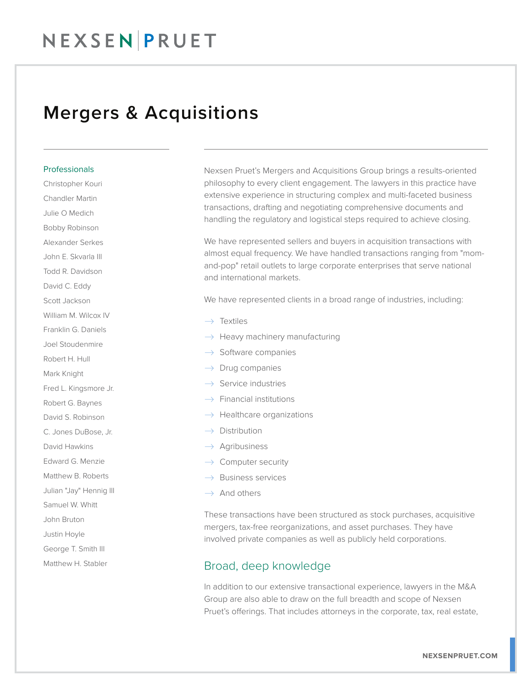## NEXSEN PRUET

### Mergers & Acquisitions

#### Professionals

Christopher Kouri Chandler Martin Julie O Medich Bobby Robinson Alexander Serkes John E. Skvarla III Todd R. Davidson David C. Eddy Scott Jackson William M. Wilcox IV Franklin G. Daniels Joel Stoudenmire Robert H. Hull Mark Knight Fred L. Kingsmore Jr. Robert G. Baynes David S. Robinson C. Jones DuBose, Jr. David Hawkins Edward G. Menzie Matthew B. Roberts Julian "Jay" Hennig III Samuel W. Whitt John Bruton Justin Hoyle George T. Smith III Matthew H. Stabler

Nexsen Pruet's Mergers and Acquisitions Group brings a results-oriented philosophy to every client engagement. The lawyers in this practice have extensive experience in structuring complex and multi-faceted business transactions, drafting and negotiating comprehensive documents and handling the regulatory and logistical steps required to achieve closing.

We have represented sellers and buyers in acquisition transactions with almost equal frequency. We have handled transactions ranging from "momand-pop" retail outlets to large corporate enterprises that serve national and international markets.

We have represented clients in a broad range of industries, including:

- $\rightarrow$  Textiles
- $\rightarrow$  Heavy machinery manufacturing
- $\rightarrow$  Software companies
- $\rightarrow$  Drug companies
- $\rightarrow$  Service industries
- $\rightarrow$  Financial institutions
- $\rightarrow$  Healthcare organizations
- $\rightarrow$  Distribution
- $\rightarrow$  Agribusiness
- $\rightarrow$  Computer security
- $\rightarrow$  Business services
- $\rightarrow$  And others

These transactions have been structured as stock purchases, acquisitive mergers, tax-free reorganizations, and asset purchases. They have involved private companies as well as publicly held corporations.

### Broad, deep knowledge

In addition to our extensive transactional experience, lawyers in the M&A Group are also able to draw on the full breadth and scope of Nexsen Pruet's offerings. That includes attorneys in the corporate, tax, real estate,